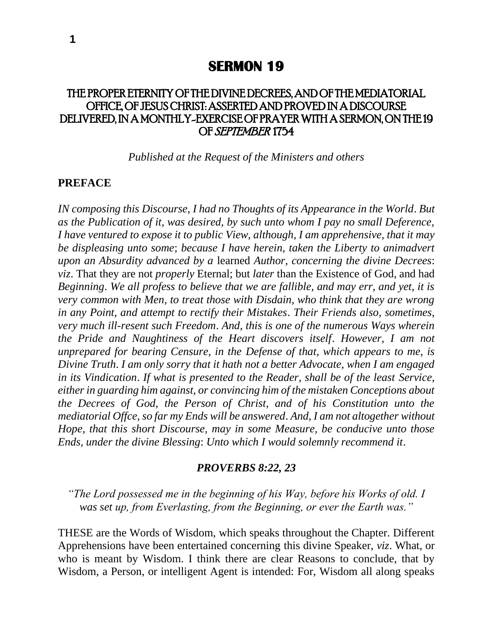# THE PROPER ETERNITY OF THE DIVINE DECREES, AND OF THE MEDIATORIAL OFFICE, OF JESUS CHRIST: ASSERTED AND PROVED IN A DISCOURSE DELIVERED, IN A MONTHLY-EXERCISE OF PRAYER WITH A SERMON, ON THE 19 OF SEPTEMBER 1754

*Published at the Request of the Ministers and others*

#### **PREFACE**

*IN composing this Discourse, I had no Thoughts of its Appearance in the World*. *But as the Publication of it, was desired, by such unto whom I pay no small Deference, I have ventured to expose it to public View, although, I am apprehensive, that it may be displeasing unto some*; *because I have herein, taken the Liberty to animadvert upon an Absurdity advanced by a* learned *Author, concerning the divine Decrees*: *viz*. That they are not *properly* Eternal; but *later* than the Existence of God, and had *Beginning*. *We all profess to believe that we are fallible, and may err, and yet, it is very common with Men, to treat those with Disdain, who think that they are wrong in any Point, and attempt to rectify their Mistakes*. *Their Friends also, sometimes, very much ill-resent such Freedom*. *And, this is one of the numerous Ways wherein the Pride and Naughtiness of the Heart discovers itself*. *However, I am not unprepared for bearing Censure, in the Defense of that, which appears to me, is Divine Truth*. *I am only sorry that it hath not a better Advocate, when I am engaged in its Vindication*. *If what is presented to the Reader, shall be of the least Service, either in guarding him against, or convincing him of the mistaken Conceptions about the Decrees of God, the Person of Christ, and of his Constitution unto the mediatorial Offce, so far my Ends will be answered*. *And, I am not altogether without Hope, that this short Discourse, may in some Measure, be conducive unto those Ends, under the divine Blessing*: *Unto which I would solemnly recommend it*.

#### *PROVERBS 8:22, 23*

*"The Lord possessed me in the beginning of his Way, before his Works of old. I was set up, from Everlasting, from the Beginning, or ever the Earth was."*

THESE are the Words of Wisdom, which speaks throughout the Chapter. Different Apprehensions have been entertained concerning this divine Speaker, *viz*. What, or who is meant by Wisdom. I think there are clear Reasons to conclude, that by Wisdom, a Person, or intelligent Agent is intended: For, Wisdom all along speaks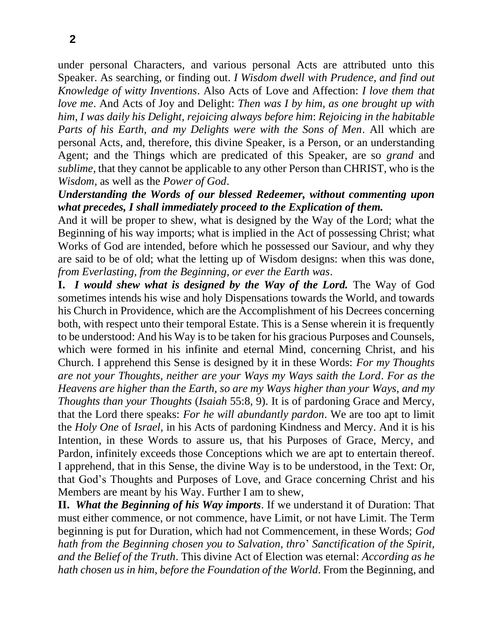under personal Characters, and various personal Acts are attributed unto this Speaker. As searching, or finding out. *I Wisdom dwell with Prudence, and find out Knowledge of witty Inventions*. Also Acts of Love and Affection: *I love them that love me*. And Acts of Joy and Delight: *Then was I by him, as one brought up with him, I was daily his Delight, rejoicing always before him*: *Rejoicing in the habitable Parts of his Earth, and my Delights were with the Sons of Men*. All which are personal Acts, and, therefore, this divine Speaker, is a Person, or an understanding Agent; and the Things which are predicated of this Speaker, are so *grand* and *sublime,* that they cannot be applicable to any other Person than CHRIST, who is the *Wisdom,* as well as the *Power of God*.

## *Understanding the Words of our blessed Redeemer, without commenting upon what precedes, I shall immediately proceed to the Explication of them.*

And it will be proper to shew, what is designed by the Way of the Lord; what the Beginning of his way imports; what is implied in the Act of possessing Christ; what Works of God are intended, before which he possessed our Saviour, and why they are said to be of old; what the letting up of Wisdom designs: when this was done, *from Everlasting, from the Beginning, or ever the Earth was*.

**I.** *I would shew what is designed by the Way of the Lord.* The Way of God sometimes intends his wise and holy Dispensations towards the World, and towards his Church in Providence, which are the Accomplishment of his Decrees concerning both, with respect unto their temporal Estate. This is a Sense wherein it is frequently to be understood: And his Way is to be taken for his gracious Purposes and Counsels, which were formed in his infinite and eternal Mind, concerning Christ, and his Church. I apprehend this Sense is designed by it in these Words: *For my Thoughts are not your Thoughts, neither are your Ways my Ways saith the Lord*. *For as the Heavens are higher than the Earth, so are my Ways higher than your Ways, and my Thoughts than your Thoughts* (*Isaiah* 55:8*,* 9). It is of pardoning Grace and Mercy, that the Lord there speaks: *For he will abundantly pardon*. We are too apt to limit the *Holy One* of *Israel,* in his Acts of pardoning Kindness and Mercy. And it is his Intention, in these Words to assure us, that his Purposes of Grace, Mercy, and Pardon, infinitely exceeds those Conceptions which we are apt to entertain thereof. I apprehend, that in this Sense, the divine Way is to be understood, in the Text: Or, that God's Thoughts and Purposes of Love, and Grace concerning Christ and his Members are meant by his Way. Further I am to shew,

**II.** *What the Beginning of his Way imports*. If we understand it of Duration: That must either commence, or not commence, have Limit, or not have Limit. The Term beginning is put for Duration, which had not Commencement, in these Words; *God hath from the Beginning chosen you to Salvation, thro*' *Sanctification of the Spirit, and the Belief of the Truth*. This divine Act of Election was eternal: *According as he hath chosen us in him, before the Foundation of the World*. From the Beginning, and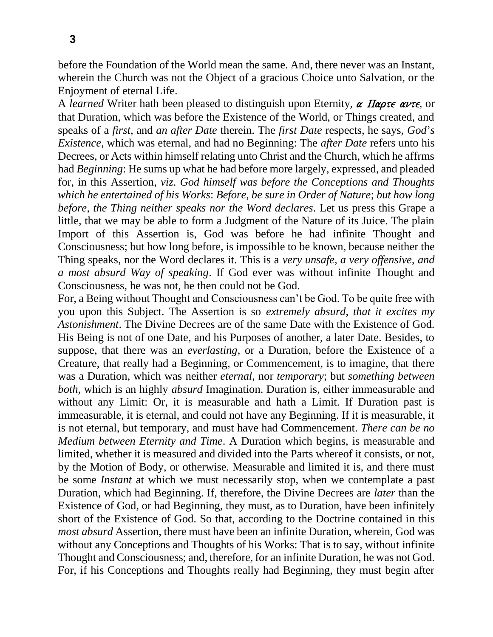before the Foundation of the World mean the same. And, there never was an Instant, wherein the Church was not the Object of a gracious Choice unto Salvation, or the Enjoyment of eternal Life.

A *learned* Writer hath been pleased to distinguish upon Eternity,  $\alpha$  *Παρτε αντε*, or that Duration, which was before the Existence of the World, or Things created, and speaks of a *first,* and *an after Date* therein. The *first Date* respects, he says, *God*'*s Existence,* which was eternal, and had no Beginning: The *after Date* refers unto his Decrees, or Acts within himself relating unto Christ and the Church, which he affrms had *Beginning*: He sums up what he had before more largely, expressed, and pleaded for, in this Assertion, *viz*. *God himself was before the Conceptions and Thoughts which he entertained of his Works*: *Before, be sure in Order of Nature*; *but how long before, the Thing neither speaks nor the Word declares*. Let us press this Grape a little, that we may be able to form a Judgment of the Nature of its Juice. The plain Import of this Assertion is, God was before he had infinite Thought and Consciousness; but how long before, is impossible to be known, because neither the Thing speaks, nor the Word declares it. This is a *very unsafe, a very offensive, and a most absurd Way of speaking*. If God ever was without infinite Thought and Consciousness, he was not, he then could not be God.

For, a Being without Thought and Consciousness can't be God. To be quite free with you upon this Subject. The Assertion is so *extremely absurd, that it excites my Astonishment*. The Divine Decrees are of the same Date with the Existence of God. His Being is not of one Date, and his Purposes of another, a later Date. Besides, to suppose, that there was an *everlasting,* or a Duration, before the Existence of a Creature, that really had a Beginning, or Commencement, is to imagine, that there was a Duration, which was neither *eternal,* nor *temporary*; but *something between both,* which is an highly *absurd* Imagination. Duration is, either immeasurable and without any Limit: Or, it is measurable and hath a Limit. If Duration past is immeasurable, it is eternal, and could not have any Beginning. If it is measurable, it is not eternal, but temporary, and must have had Commencement. *There can be no Medium between Eternity and Time*. A Duration which begins, is measurable and limited, whether it is measured and divided into the Parts whereof it consists, or not, by the Motion of Body, or otherwise. Measurable and limited it is, and there must be some *Instant* at which we must necessarily stop, when we contemplate a past Duration, which had Beginning. If, therefore, the Divine Decrees are *later* than the Existence of God, or had Beginning, they must, as to Duration, have been infinitely short of the Existence of God. So that, according to the Doctrine contained in this *most absurd* Assertion, there must have been an infinite Duration, wherein, God was without any Conceptions and Thoughts of his Works: That is to say, without infinite Thought and Consciousness; and, therefore, for an infinite Duration, he was not God. For, if his Conceptions and Thoughts really had Beginning, they must begin after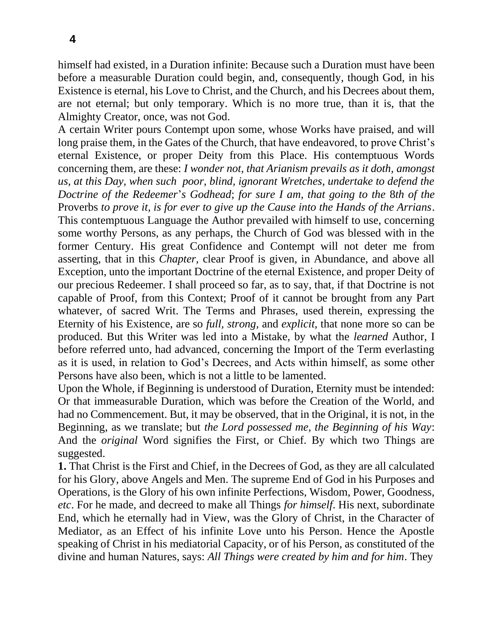himself had existed, in a Duration infinite: Because such a Duration must have been before a measurable Duration could begin, and, consequently, though God, in his Existence is eternal, his Love to Christ, and the Church, and his Decrees about them, are not eternal; but only temporary. Which is no more true, than it is, that the Almighty Creator, once, was not God.

A certain Writer pours Contempt upon some, whose Works have praised, and will long praise them, in the Gates of the Church, that have endeavored, to prove Christ's eternal Existence, or proper Deity from this Place. His contemptuous Words concerning them, are these: *I wonder not, that Arianism prevails as it doth, amongst us, at this Day, when such poor, blind, ignorant Wretches, undertake to defend the Doctrine of the Redeemer*'*s Godhead*; *for sure I am, that going to the* 8*th of the*  Proverbs *to prove it, is for ever to give up the Cause into the Hands of the Arrians*. This contemptuous Language the Author prevailed with himself to use, concerning some worthy Persons, as any perhaps, the Church of God was blessed with in the former Century. His great Confidence and Contempt will not deter me from asserting, that in this *Chapter,* clear Proof is given, in Abundance, and above all Exception, unto the important Doctrine of the eternal Existence, and proper Deity of our precious Redeemer. I shall proceed so far, as to say, that, if that Doctrine is not capable of Proof, from this Context; Proof of it cannot be brought from any Part whatever, of sacred Writ. The Terms and Phrases, used therein, expressing the Eternity of his Existence, are so *full, strong,* and *explicit,* that none more so can be produced. But this Writer was led into a Mistake, by what the *learned* Author, I before referred unto, had advanced, concerning the Import of the Term everlasting as it is used, in relation to God's Decrees, and Acts within himself, as some other Persons have also been, which is not a little to be lamented.

Upon the Whole, if Beginning is understood of Duration, Eternity must be intended: Or that immeasurable Duration, which was before the Creation of the World, and had no Commencement. But, it may be observed, that in the Original, it is not, in the Beginning, as we translate; but *the Lord possessed me, the Beginning of his Way*: And the *original* Word signifies the First, or Chief. By which two Things are suggested.

**1.** That Christ is the First and Chief, in the Decrees of God, as they are all calculated for his Glory, above Angels and Men. The supreme End of God in his Purposes and Operations, is the Glory of his own infinite Perfections, Wisdom, Power, Goodness, *etc*. For he made, and decreed to make all Things *for himself*. His next, subordinate End, which he eternally had in View, was the Glory of Christ, in the Character of Mediator, as an Effect of his infinite Love unto his Person. Hence the Apostle speaking of Christ in his mediatorial Capacity, or of his Person, as constituted of the divine and human Natures, says: *All Things were created by him and for him*. They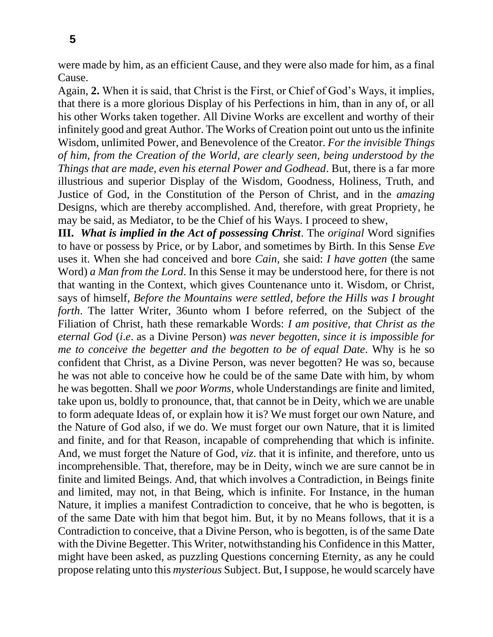were made by him, as an efficient Cause, and they were also made for him, as a final Cause.

Again, **2.** When it is said, that Christ is the First, or Chief of God's Ways, it implies, that there is a more glorious Display of his Perfections in him, than in any of, or all his other Works taken together. All Divine Works are excellent and worthy of their infinitely good and great Author. The Works of Creation point out unto us the infinite Wisdom, unlimited Power, and Benevolence of the Creator. *For the invisible Things of him, from the Creation of the World, are clearly seen, being understood by the Things that are made, even his eternal Power and Godhead*. But, there is a far more illustrious and superior Display of the Wisdom, Goodness, Holiness, Truth, and Justice of God, in the Constitution of the Person of Christ, and in the *amazing*  Designs, which are thereby accomplished. And, therefore, with great Propriety, he may be said, as Mediator, to be the Chief of his Ways. I proceed to shew,

**III.** *What is implied in the Act of possessing Christ*. The *original* Word signifies to have or possess by Price, or by Labor, and sometimes by Birth. In this Sense *Eve*  uses it. When she had conceived and bore *Cain,* she said: *I have gotten* (the same Word) *a Man from the Lord*. In this Sense it may be understood here, for there is not that wanting in the Context, which gives Countenance unto it. Wisdom, or Christ, says of himself, *Before the Mountains were settled, before the Hills was I brought forth*. The latter Writer, 36unto whom I before referred, on the Subject of the Filiation of Christ, hath these remarkable Words: *I am positive, that Christ as the eternal God* (*i*.*e*. as a Divine Person) *was never begotten, since it is impossible for me to conceive the begetter and the begotten to be of equal Date*. Why is he so confident that Christ, as a Divine Person, was never begotten? He was so, because he was not able to conceive how he could be of the same Date with him, by whom he was begotten. Shall we *poor Worms,* whole Understandings are finite and limited, take upon us, boldly to pronounce, that, that cannot be in Deity, which we are unable to form adequate Ideas of, or explain how it is? We must forget our own Nature, and the Nature of God also, if we do. We must forget our own Nature, that it is limited and finite, and for that Reason, incapable of comprehending that which is infinite. And, we must forget the Nature of God, *viz*. that it is infinite, and therefore, unto us incomprehensible. That, therefore, may be in Deity, winch we are sure cannot be in finite and limited Beings. And, that which involves a Contradiction, in Beings finite and limited, may not, in that Being, which is infinite. For Instance, in the human Nature, it implies a manifest Contradiction to conceive, that he who is begotten, is of the same Date with him that begot him. But, it by no Means follows, that it is a Contradiction to conceive, that a Divine Person, who is begotten, is of the same Date with the Divine Begetter. This Writer, notwithstanding his Confidence in this Matter, might have been asked, as puzzling Questions concerning Eternity, as any he could propose relating unto this *mysterious* Subject. But, I suppose, he would scarcely have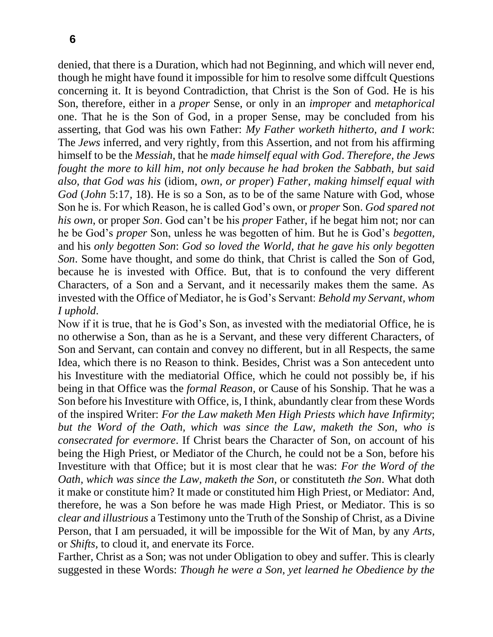denied, that there is a Duration, which had not Beginning, and which will never end, though he might have found it impossible for him to resolve some diffcult Questions concerning it. It is beyond Contradiction, that Christ is the Son of God. He is his Son, therefore, either in a *proper* Sense, or only in an *improper* and *metaphorical*  one. That he is the Son of God, in a proper Sense, may be concluded from his asserting, that God was his own Father: *My Father worketh hitherto, and I work*: The *Jews* inferred, and very rightly, from this Assertion, and not from his affirming himself to be the *Messiah,* that he *made himself equal with God*. *Therefore, the Jews fought the more to kill him, not only because he had broken the Sabbath, but said also, that God was his* (idiom, *own, or proper*) *Father, making himself equal with God* (*John* 5:17*,* 18). He is so a Son, as to be of the same Nature with God, whose Son he is. For which Reason, he is called God's own, or *proper* Son. *God spared not his own*, or proper *Son*. God can't be his *proper* Father, if he begat him not; nor can he be God's *proper* Son, unless he was begotten of him. But he is God's *begotten,*  and his *only begotten Son*: *God so loved the World, that he gave his only begotten Son*. Some have thought, and some do think, that Christ is called the Son of God, because he is invested with Office. But, that is to confound the very different Characters, of a Son and a Servant, and it necessarily makes them the same. As invested with the Office of Mediator, he is God's Servant: *Behold my Servant, whom I uphold*.

Now if it is true, that he is God's Son, as invested with the mediatorial Office, he is no otherwise a Son, than as he is a Servant, and these very different Characters, of Son and Servant, can contain and convey no different, but in all Respects, the same Idea, which there is no Reason to think. Besides, Christ was a Son antecedent unto his Investiture with the mediatorial Office, which he could not possibly be, if his being in that Office was the *formal Reason,* or Cause of his Sonship. That he was a Son before his Investiture with Office, is, I think, abundantly clear from these Words of the inspired Writer: *For the Law maketh Men High Priests which have Infirmity*; *but the Word of the Oath, which was since the Law, maketh the Son, who is consecrated for evermore*. If Christ bears the Character of Son, on account of his being the High Priest, or Mediator of the Church, he could not be a Son, before his Investiture with that Office; but it is most clear that he was: *For the Word of the Oath, which was since the Law, maketh the Son,* or constituteth *the Son*. What doth it make or constitute him? It made or constituted him High Priest, or Mediator: And, therefore, he was a Son before he was made High Priest, or Mediator. This is so *clear and illustrious* a Testimony unto the Truth of the Sonship of Christ, as a Divine Person, that I am persuaded, it will be impossible for the Wit of Man, by any *Arts,*  or *Shifts,* to cloud it, and enervate its Force.

Farther, Christ as a Son; was not under Obligation to obey and suffer. This is clearly suggested in these Words: *Though he were a Son, yet learned he Obedience by the*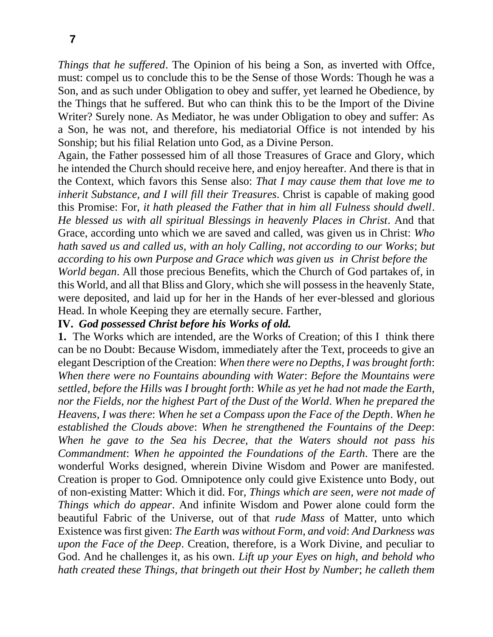*Things that he suffered*. The Opinion of his being a Son, as inverted with Offce, must: compel us to conclude this to be the Sense of those Words: Though he was a Son, and as such under Obligation to obey and suffer, yet learned he Obedience, by the Things that he suffered. But who can think this to be the Import of the Divine Writer? Surely none. As Mediator, he was under Obligation to obey and suffer: As a Son, he was not, and therefore, his mediatorial Office is not intended by his Sonship; but his filial Relation unto God, as a Divine Person.

Again, the Father possessed him of all those Treasures of Grace and Glory, which he intended the Church should receive here, and enjoy hereafter. And there is that in the Context, which favors this Sense also: *That I may cause them that love me to inherit Substance, and I will fill their Treasures*. Christ is capable of making good this Promise: For, *it hath pleased the Father that in him all Fulness should dwell*. *He blessed us with all spiritual Blessings in heavenly Places in Christ*. And that Grace, according unto which we are saved and called, was given us in Christ: *Who hath saved us and called us, with an holy Calling, not according to our Works*; *but according to his own Purpose and Grace which was given us in Christ before the World began*. All those precious Benefits, which the Church of God partakes of, in this World, and all that Bliss and Glory, which she will possess in the heavenly State, were deposited, and laid up for her in the Hands of her ever-blessed and glorious

#### Head. In whole Keeping they are eternally secure. Farther, **IV.** *God possessed Christ before his Works of old.*

**1.** The Works which are intended, are the Works of Creation; of this I think there can be no Doubt: Because Wisdom, immediately after the Text, proceeds to give an elegant Description of the Creation: *When there were no Depths, I was brought forth*: *When there were no Fountains abounding with Water*: *Before the Mountains were settled, before the Hills was I brought forth*: *While as yet he had not made the Earth, nor the Fields, nor the highest Part of the Dust of the World*. *When he prepared the Heavens, I was there*: *When he set a Compass upon the Face of the Depth*. *When he established the Clouds above*: *When he strengthened the Fountains of the Deep*: *When he gave to the Sea his Decree, that the Waters should not pass his Commandment*: *When he appointed the Foundations of the Earth*. There are the wonderful Works designed, wherein Divine Wisdom and Power are manifested. Creation is proper to God. Omnipotence only could give Existence unto Body, out of non-existing Matter: Which it did. For, *Things which are seen, were not made of Things which do appear*. And infinite Wisdom and Power alone could form the beautiful Fabric of the Universe, out of that *rude Mass* of Matter, unto which Existence was first given: *The Earth was without Form, and void*: *And Darkness was upon the Face of the Deep*. Creation, therefore, is a Work Divine, and peculiar to God. And he challenges it, as his own. *Lift up your Eyes on high, and behold who hath created these Things, that bringeth out their Host by Number*; *he calleth them*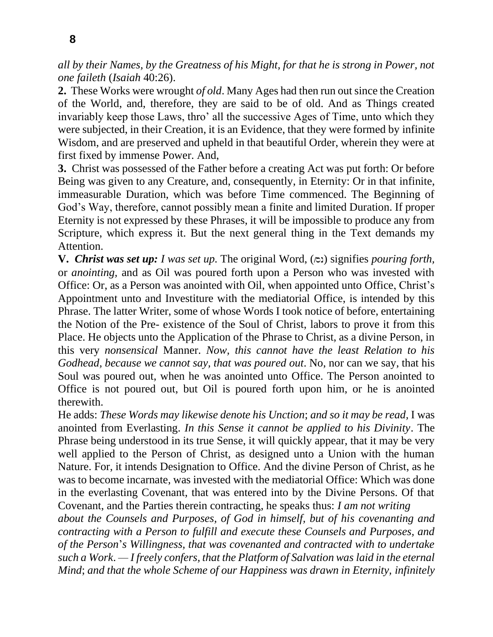*all by their Names, by the Greatness of his Might, for that he is strong in Power, not one faileth* (*Isaiah* 40:26).

**2.** These Works were wrought *of old*. Many Ages had then run out since the Creation of the World, and, therefore, they are said to be of old. And as Things created invariably keep those Laws, thro' all the successive Ages of Time, unto which they were subjected, in their Creation, it is an Evidence, that they were formed by infinite Wisdom, and are preserved and upheld in that beautiful Order, wherein they were at first fixed by immense Power. And,

**3.** Christ was possessed of the Father before a creating Act was put forth: Or before Being was given to any Creature, and, consequently, in Eternity: Or in that infinite, immeasurable Duration, which was before Time commenced. The Beginning of God's Way, therefore, cannot possibly mean a finite and limited Duration. If proper Eternity is not expressed by these Phrases, it will be impossible to produce any from Scripture, which express it. But the next general thing in the Text demands my Attention.

**V.** *Christ was set up: I was set up.* The original Word, (∞) signifies *pouring forth*, or *anointing,* and as Oil was poured forth upon a Person who was invested with Office: Or, as a Person was anointed with Oil, when appointed unto Office, Christ's Appointment unto and Investiture with the mediatorial Office, is intended by this Phrase. The latter Writer, some of whose Words I took notice of before, entertaining the Notion of the Pre- existence of the Soul of Christ, labors to prove it from this Place. He objects unto the Application of the Phrase to Christ, as a divine Person, in this very *nonsensical* Manner. *Now, this cannot have the least Relation to his Godhead, because we cannot say, that was poured out*. No, nor can we say, that his Soul was poured out, when he was anointed unto Office. The Person anointed to Office is not poured out, but Oil is poured forth upon him, or he is anointed therewith.

He adds: *These Words may likewise denote his Unction*; *and so it may be read,* I was anointed from Everlasting. *In this Sense it cannot be applied to his Divinity*. The Phrase being understood in its true Sense, it will quickly appear, that it may be very well applied to the Person of Christ, as designed unto a Union with the human Nature. For, it intends Designation to Office. And the divine Person of Christ, as he was to become incarnate, was invested with the mediatorial Office: Which was done in the everlasting Covenant, that was entered into by the Divine Persons. Of that Covenant, and the Parties therein contracting, he speaks thus: *I am not writing*

*about the Counsels and Purposes, of God in himself, but of his covenanting and contracting with a Person to fulfill and execute these Counsels and Purposes, and of the Person*'*s Willingness, that was covenanted and contracted with to undertake such a Work*. *— I freely confers, that the Platform of Salvation was laid in the eternal Mind*; *and that the whole Scheme of our Happiness was drawn in Eternity, infinitely*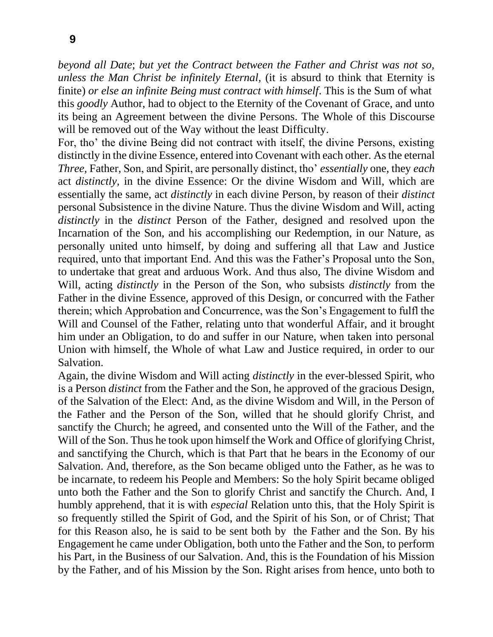*beyond all Date*; *but yet the Contract between the Father and Christ was not so, unless the Man Christ be infinitely Eternal,* (it is absurd to think that Eternity is finite) *or else an infinite Being must contract with himself*. This is the Sum of what this *goodly* Author, had to object to the Eternity of the Covenant of Grace, and unto its being an Agreement between the divine Persons. The Whole of this Discourse will be removed out of the Way without the least Difficulty.

For, tho' the divine Being did not contract with itself, the divine Persons, existing distinctly in the divine Essence, entered into Covenant with each other. As the eternal *Three,* Father, Son, and Spirit, are personally distinct, tho' *essentially* one, they *each*  act *distinctly,* in the divine Essence: Or the divine Wisdom and Will, which are essentially the same, act *distinctly* in each divine Person, by reason of their *distinct*  personal Subsistence in the divine Nature. Thus the divine Wisdom and Will, acting *distinctly* in the *distinct* Person of the Father, designed and resolved upon the Incarnation of the Son, and his accomplishing our Redemption, in our Nature, as personally united unto himself, by doing and suffering all that Law and Justice required, unto that important End. And this was the Father's Proposal unto the Son, to undertake that great and arduous Work. And thus also, The divine Wisdom and Will, acting *distinctly* in the Person of the Son, who subsists *distinctly* from the Father in the divine Essence, approved of this Design, or concurred with the Father therein; which Approbation and Concurrence, was the Son's Engagement to fulfl the Will and Counsel of the Father, relating unto that wonderful Affair, and it brought him under an Obligation, to do and suffer in our Nature, when taken into personal Union with himself, the Whole of what Law and Justice required, in order to our Salvation.

Again, the divine Wisdom and Will acting *distinctly* in the ever-blessed Spirit, who is a Person *distinct* from the Father and the Son, he approved of the gracious Design, of the Salvation of the Elect: And, as the divine Wisdom and Will, in the Person of the Father and the Person of the Son, willed that he should glorify Christ, and sanctify the Church; he agreed, and consented unto the Will of the Father, and the Will of the Son. Thus he took upon himself the Work and Office of glorifying Christ, and sanctifying the Church, which is that Part that he bears in the Economy of our Salvation. And, therefore, as the Son became obliged unto the Father, as he was to be incarnate, to redeem his People and Members: So the holy Spirit became obliged unto both the Father and the Son to glorify Christ and sanctify the Church. And, I humbly apprehend, that it is with *especial* Relation unto this, that the Holy Spirit is so frequently stilled the Spirit of God, and the Spirit of his Son, or of Christ; That for this Reason also, he is said to be sent both by the Father and the Son. By his Engagement he came under Obligation, both unto the Father and the Son, to perform his Part, in the Business of our Salvation. And, this is the Foundation of his Mission by the Father, and of his Mission by the Son. Right arises from hence, unto both to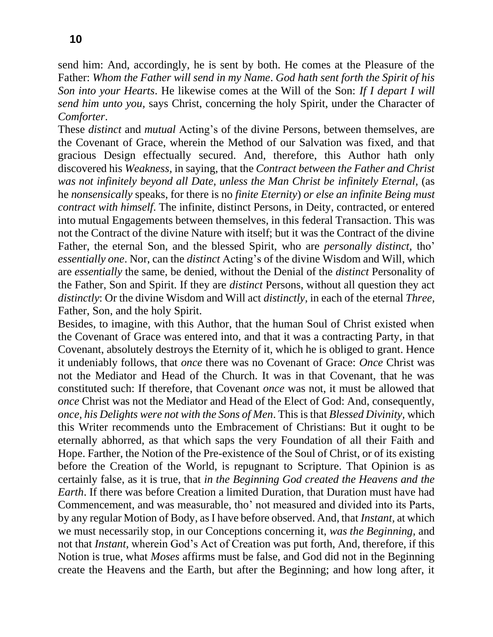send him: And, accordingly, he is sent by both. He comes at the Pleasure of the Father: *Whom the Father will send in my Name*. *God hath sent forth the Spirit of his Son into your Hearts*. He likewise comes at the Will of the Son: *If I depart I will send him unto you,* says Christ, concerning the holy Spirit, under the Character of *Comforter*.

These *distinct* and *mutual* Acting's of the divine Persons, between themselves, are the Covenant of Grace, wherein the Method of our Salvation was fixed, and that gracious Design effectually secured. And, therefore, this Author hath only discovered his *Weakness,* in saying, that the *Contract between the Father and Christ was not infinitely beyond all Date, unless the Man Christ be infinitely Eternal,* (as he *nonsensically* speaks, for there is no *finite Eternity*) *or else an infinite Being must contract with himself*. The infinite, distinct Persons, in Deity, contracted, or entered into mutual Engagements between themselves, in this federal Transaction. This was not the Contract of the divine Nature with itself; but it was the Contract of the divine Father, the eternal Son, and the blessed Spirit, who are *personally distinct,* tho' *essentially one*. Nor, can the *distinct* Acting's of the divine Wisdom and Will, which are *essentially* the same, be denied, without the Denial of the *distinct* Personality of the Father, Son and Spirit. If they are *distinct* Persons, without all question they act *distinctly*: Or the divine Wisdom and Will act *distinctly,* in each of the eternal *Three,*  Father, Son, and the holy Spirit.

Besides, to imagine, with this Author, that the human Soul of Christ existed when the Covenant of Grace was entered into, and that it was a contracting Party, in that Covenant, absolutely destroys the Eternity of it, which he is obliged to grant. Hence it undeniably follows, that *once* there was no Covenant of Grace: *Once* Christ was not the Mediator and Head of the Church. It was in that Covenant, that he was constituted such: If therefore, that Covenant *once* was not, it must be allowed that *once* Christ was not the Mediator and Head of the Elect of God: And, consequently, *once, his Delights were not with the Sons of Men*. This is that *Blessed Divinity,* which this Writer recommends unto the Embracement of Christians: But it ought to be eternally abhorred, as that which saps the very Foundation of all their Faith and Hope. Farther, the Notion of the Pre-existence of the Soul of Christ, or of its existing before the Creation of the World, is repugnant to Scripture. That Opinion is as certainly false, as it is true, that *in the Beginning God created the Heavens and the Earth*. If there was before Creation a limited Duration, that Duration must have had Commencement, and was measurable, tho' not measured and divided into its Parts, by any regular Motion of Body, as I have before observed. And, that *Instant,* at which we must necessarily stop, in our Conceptions concerning it, *was the Beginning,* and not that *Instant,* wherein God's Act of Creation was put forth, And, therefore, if this Notion is true, what *Moses* affirms must be false, and God did not in the Beginning create the Heavens and the Earth, but after the Beginning; and how long after, it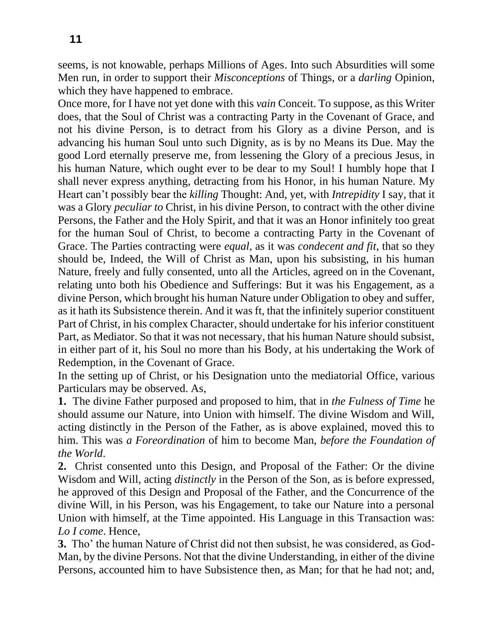seems, is not knowable, perhaps Millions of Ages. Into such Absurdities will some Men run, in order to support their *Misconceptions* of Things, or a *darling* Opinion, which they have happened to embrace.

Once more, for I have not yet done with this *vain* Conceit. To suppose, as this Writer does, that the Soul of Christ was a contracting Party in the Covenant of Grace, and not his divine Person, is to detract from his Glory as a divine Person, and is advancing his human Soul unto such Dignity, as is by no Means its Due. May the good Lord eternally preserve me, from lessening the Glory of a precious Jesus, in his human Nature, which ought ever to be dear to my Soul! I humbly hope that I shall never express anything, detracting from his Honor, in his human Nature. My Heart can't possibly bear the *killing* Thought: And, yet, with *Intrepidity* I say, that it was a Glory *peculiar to* Christ, in his divine Person, to contract with the other divine Persons, the Father and the Holy Spirit, and that it was an Honor infinitely too great for the human Soul of Christ, to become a contracting Party in the Covenant of Grace. The Parties contracting were *equal,* as it was *condecent and fit*, that so they should be, Indeed, the Will of Christ as Man, upon his subsisting, in his human Nature, freely and fully consented, unto all the Articles, agreed on in the Covenant, relating unto both his Obedience and Sufferings: But it was his Engagement, as a divine Person, which brought his human Nature under Obligation to obey and suffer, as it hath its Subsistence therein. And it was ft, that the infinitely superior constituent Part of Christ, in his complex Character, should undertake for his inferior constituent Part, as Mediator. So that it was not necessary, that his human Nature should subsist, in either part of it, his Soul no more than his Body, at his undertaking the Work of Redemption, in the Covenant of Grace.

In the setting up of Christ, or his Designation unto the mediatorial Office, various Particulars may be observed. As,

**1.** The divine Father purposed and proposed to him, that in *the Fulness of Time* he should assume our Nature, into Union with himself. The divine Wisdom and Will, acting distinctly in the Person of the Father, as is above explained, moved this to him. This was *a Foreordination* of him to become Man, *before the Foundation of the World*.

**2.** Christ consented unto this Design, and Proposal of the Father: Or the divine Wisdom and Will, acting *distinctly* in the Person of the Son, as is before expressed, he approved of this Design and Proposal of the Father, and the Concurrence of the divine Will, in his Person, was his Engagement, to take our Nature into a personal Union with himself, at the Time appointed. His Language in this Transaction was: *Lo I come*. Hence,

**3.** Tho' the human Nature of Christ did not then subsist, he was considered, as God-Man, by the divine Persons. Not that the divine Understanding, in either of the divine Persons, accounted him to have Subsistence then, as Man; for that he had not; and,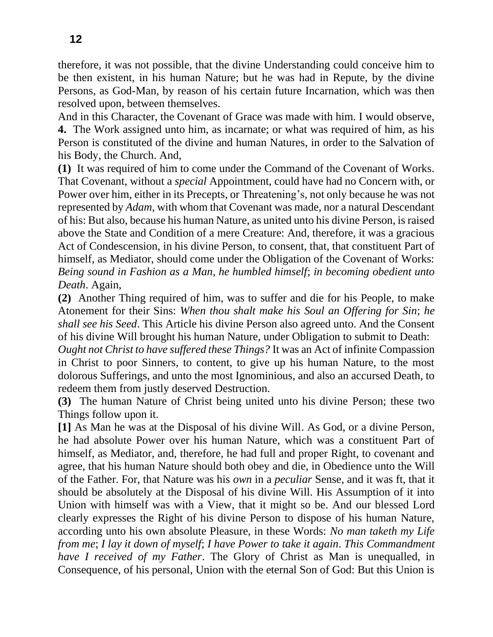therefore, it was not possible, that the divine Understanding could conceive him to be then existent, in his human Nature; but he was had in Repute, by the divine Persons, as God-Man, by reason of his certain future Incarnation, which was then resolved upon, between themselves.

And in this Character, the Covenant of Grace was made with him. I would observe, **4.** The Work assigned unto him, as incarnate; or what was required of him, as his Person is constituted of the divine and human Natures, in order to the Salvation of his Body, the Church. And,

**(1)** It was required of him to come under the Command of the Covenant of Works. That Covenant, without a *special* Appointment, could have had no Concern with, or Power over him, either in its Precepts, or Threatening's, not only because he was not represented by *Adam*, with whom that Covenant was made, nor a natural Descendant of his: But also, because his human Nature, as united unto his divine Person, is raised above the State and Condition of a mere Creature: And, therefore, it was a gracious Act of Condescension, in his divine Person, to consent, that, that constituent Part of himself, as Mediator, should come under the Obligation of the Covenant of Works: *Being sound in Fashion as a Man, he humbled himself*; *in becoming obedient unto Death*. Again,

**(2)** Another Thing required of him, was to suffer and die for his People, to make Atonement for their Sins: *When thou shalt make his Soul an Offering for Sin*; *he shall see his Seed*. This Article his divine Person also agreed unto. And the Consent of his divine Will brought his human Nature, under Obligation to submit to Death: *Ought not Christ to have suffered these Things?* It was an Act of infinite Compassion in Christ to poor Sinners, to content, to give up his human Nature, to the most dolorous Sufferings, and unto the most Ignominious, and also an accursed Death, to redeem them from justly deserved Destruction.

**(3)** The human Nature of Christ being united unto his divine Person; these two Things follow upon it.

**[1]** As Man he was at the Disposal of his divine Will. As God, or a divine Person, he had absolute Power over his human Nature, which was a constituent Part of himself, as Mediator, and, therefore, he had full and proper Right, to covenant and agree, that his human Nature should both obey and die, in Obedience unto the Will of the Father. For, that Nature was his *own* in a *peculiar* Sense, and it was ft, that it should be absolutely at the Disposal of his divine Will. His Assumption of it into Union with himself was with a View, that it might so be. And our blessed Lord clearly expresses the Right of his divine Person to dispose of his human Nature, according unto his own absolute Pleasure, in these Words: *No man taketh my Life from me*; *I lay it down of myself*; *I have Power to take it again*. *This Commandment have I received of my Father*. The Glory of Christ as Man is unequalled, in Consequence, of his personal, Union with the eternal Son of God: But this Union is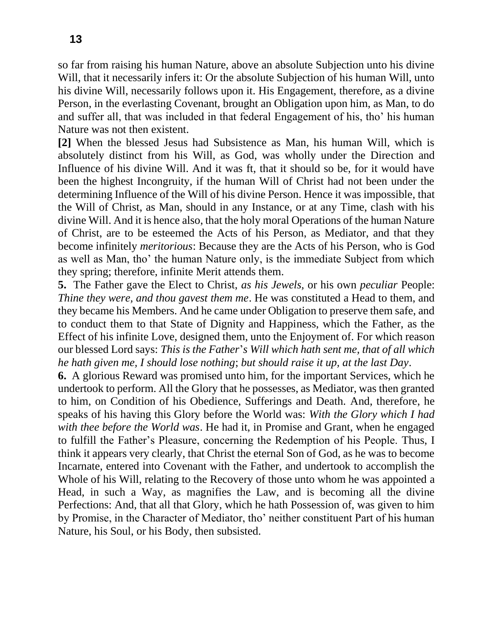so far from raising his human Nature, above an absolute Subjection unto his divine Will, that it necessarily infers it: Or the absolute Subjection of his human Will, unto his divine Will, necessarily follows upon it. His Engagement, therefore, as a divine Person, in the everlasting Covenant, brought an Obligation upon him, as Man, to do and suffer all, that was included in that federal Engagement of his, tho' his human Nature was not then existent.

**[2]** When the blessed Jesus had Subsistence as Man, his human Will, which is absolutely distinct from his Will, as God, was wholly under the Direction and Influence of his divine Will. And it was ft, that it should so be, for it would have been the highest Incongruity, if the human Will of Christ had not been under the determining Influence of the Will of his divine Person. Hence it was impossible, that the Will of Christ, as Man, should in any Instance, or at any Time, clash with his divine Will. And it is hence also, that the holy moral Operations of the human Nature of Christ, are to be esteemed the Acts of his Person, as Mediator, and that they become infinitely *meritorious*: Because they are the Acts of his Person, who is God as well as Man, tho' the human Nature only, is the immediate Subject from which they spring; therefore, infinite Merit attends them.

**5.** The Father gave the Elect to Christ, *as his Jewels,* or his own *peculiar* People: *Thine they were, and thou gavest them me*. He was constituted a Head to them, and they became his Members. And he came under Obligation to preserve them safe, and to conduct them to that State of Dignity and Happiness, which the Father, as the Effect of his infinite Love, designed them, unto the Enjoyment of. For which reason our blessed Lord says: *This is the Father*'*s Will which hath sent me, that of all which he hath given me, I should lose nothing*; *but should raise it up, at the last Day*.

**6.** A glorious Reward was promised unto him, for the important Services, which he undertook to perform. All the Glory that he possesses, as Mediator, was then granted to him, on Condition of his Obedience, Sufferings and Death. And, therefore, he speaks of his having this Glory before the World was: *With the Glory which I had with thee before the World was*. He had it, in Promise and Grant, when he engaged to fulfill the Father's Pleasure, concerning the Redemption of his People. Thus, I think it appears very clearly, that Christ the eternal Son of God, as he was to become Incarnate, entered into Covenant with the Father, and undertook to accomplish the Whole of his Will, relating to the Recovery of those unto whom he was appointed a Head, in such a Way, as magnifies the Law, and is becoming all the divine Perfections: And, that all that Glory, which he hath Possession of, was given to him by Promise, in the Character of Mediator, tho' neither constituent Part of his human Nature, his Soul, or his Body, then subsisted.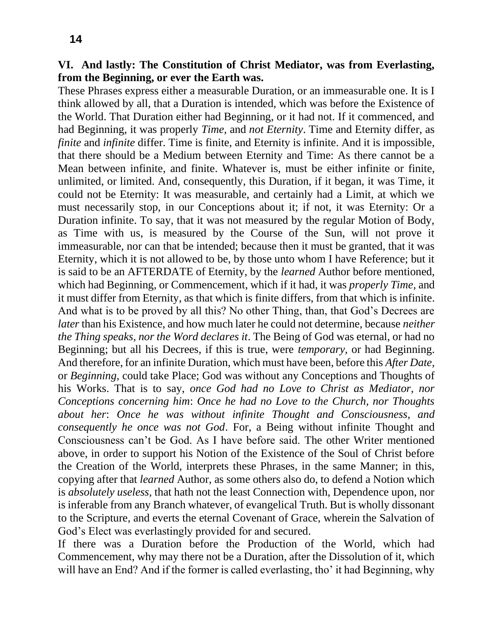# **VI. And lastly: The Constitution of Christ Mediator, was from Everlasting, from the Beginning, or ever the Earth was.**

These Phrases express either a measurable Duration, or an immeasurable one. It is I think allowed by all, that a Duration is intended, which was before the Existence of the World. That Duration either had Beginning, or it had not. If it commenced, and had Beginning, it was properly *Time,* and *not Eternity*. Time and Eternity differ, as *finite* and *infinite* differ. Time is finite, and Eternity is infinite. And it is impossible, that there should be a Medium between Eternity and Time: As there cannot be a Mean between infinite, and finite. Whatever is, must be either infinite or finite, unlimited, or limited. And, consequently, this Duration, if it began, it was Time, it could not be Eternity: It was measurable, and certainly had a Limit, at which we must necessarily stop, in our Conceptions about it; if not, it was Eternity: Or a Duration infinite. To say, that it was not measured by the regular Motion of Body, as Time with us, is measured by the Course of the Sun, will not prove it immeasurable, nor can that be intended; because then it must be granted, that it was Eternity, which it is not allowed to be, by those unto whom I have Reference; but it is said to be an AFTERDATE of Eternity, by the *learned* Author before mentioned, which had Beginning, or Commencement, which if it had, it was *properly Time,* and it must differ from Eternity, as that which is finite differs, from that which is infinite. And what is to be proved by all this? No other Thing, than, that God's Decrees are *later* than his Existence, and how much later he could not determine, because *neither the Thing speaks, nor the Word declares it*. The Being of God was eternal, or had no Beginning; but all his Decrees, if this is true, were *temporary,* or had Beginning. And therefore, for an infinite Duration, which must have been, before this *After Date,*  or *Beginning,* could take Place; God was without any Conceptions and Thoughts of his Works. That is to say, *once God had no Love to Christ as Mediator, nor Conceptions concerning him*: *Once he had no Love to the Church, nor Thoughts about her*: *Once he was without infinite Thought and Consciousness, and consequently he once was not God*. For, a Being without infinite Thought and Consciousness can't be God. As I have before said. The other Writer mentioned above, in order to support his Notion of the Existence of the Soul of Christ before the Creation of the World, interprets these Phrases, in the same Manner; in this, copying after that *learned* Author, as some others also do, to defend a Notion which is *absolutely useless,* that hath not the least Connection with, Dependence upon, nor is inferable from any Branch whatever, of evangelical Truth. But is wholly dissonant to the Scripture, and everts the eternal Covenant of Grace, wherein the Salvation of God's Elect was everlastingly provided for and secured.

If there was a Duration before the Production of the World, which had Commencement, why may there not be a Duration, after the Dissolution of it, which will have an End? And if the former is called everlasting, tho' it had Beginning, why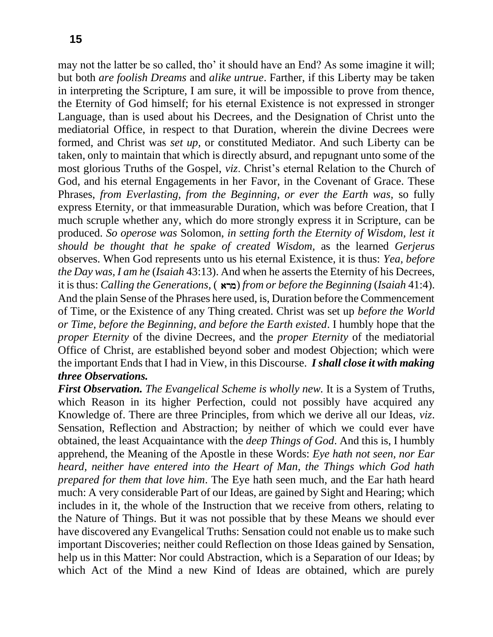may not the latter be so called, tho' it should have an End? As some imagine it will; but both *are foolish Dreams* and *alike untrue*. Farther, if this Liberty may be taken in interpreting the Scripture, I am sure, it will be impossible to prove from thence, the Eternity of God himself; for his eternal Existence is not expressed in stronger Language, than is used about his Decrees, and the Designation of Christ unto the mediatorial Office, in respect to that Duration, wherein the divine Decrees were formed, and Christ was *set up,* or constituted Mediator. And such Liberty can be taken, only to maintain that which is directly absurd, and repugnant unto some of the most glorious Truths of the Gospel, *viz*. Christ's eternal Relation to the Church of God, and his eternal Engagements in her Favor, in the Covenant of Grace. These Phrases, *from Everlasting, from the Beginning, or ever the Earth was,* so fully express Eternity, or that immeasurable Duration, which was before Creation, that I much scruple whether any, which do more strongly express it in Scripture, can be produced. *So operose was* Solomon, *in setting forth the Eternity of Wisdom, lest it should be thought that he spake of created Wisdom,* as the learned *Gerjerus*  observes. When God represents unto us his eternal Existence, it is thus: *Yea, before the Day was, I am he* (*Isaiah* 43:13). And when he asserts the Eternity of his Decrees, it is thus: *Calling the Generations,* (çarm) *from or before the Beginning* (*Isaiah* 41:4). And the plain Sense of the Phrases here used, is, Duration before the Commencement of Time, or the Existence of any Thing created. Christ was set up *before the World or Time, before the Beginning, and before the Earth existed*. I humbly hope that the *proper Eternity* of the divine Decrees, and the *proper Eternity* of the mediatorial Office of Christ, are established beyond sober and modest Objection; which were the important Ends that I had in View, in this Discourse. *I shall close it with making three Observations.*

*First Observation. The Evangelical Scheme is wholly new.* It is a System of Truths, which Reason in its higher Perfection, could not possibly have acquired any Knowledge of. There are three Principles, from which we derive all our Ideas, *viz*. Sensation, Reflection and Abstraction; by neither of which we could ever have obtained, the least Acquaintance with the *deep Things of God*. And this is, I humbly apprehend, the Meaning of the Apostle in these Words: *Eye hath not seen, nor Ear heard, neither have entered into the Heart of Man, the Things which God hath prepared for them that love him*. The Eye hath seen much, and the Ear hath heard much: A very considerable Part of our Ideas, are gained by Sight and Hearing; which includes in it, the whole of the Instruction that we receive from others, relating to the Nature of Things. But it was not possible that by these Means we should ever have discovered any Evangelical Truths: Sensation could not enable us to make such important Discoveries; neither could Reflection on those Ideas gained by Sensation, help us in this Matter: Nor could Abstraction, which is a Separation of our Ideas; by which Act of the Mind a new Kind of Ideas are obtained, which are purely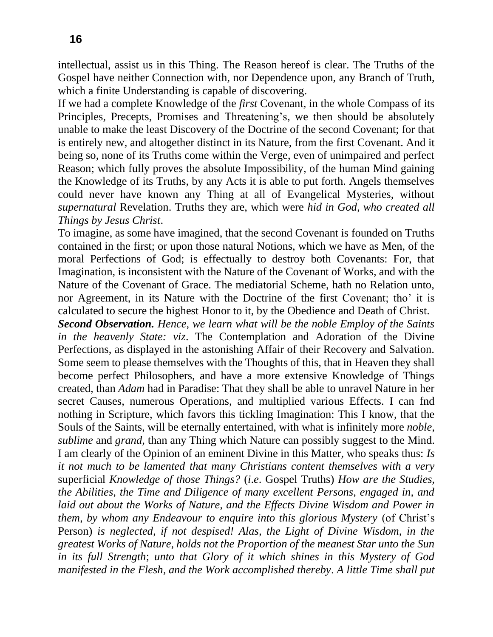intellectual, assist us in this Thing. The Reason hereof is clear. The Truths of the Gospel have neither Connection with, nor Dependence upon, any Branch of Truth, which a finite Understanding is capable of discovering.

If we had a complete Knowledge of the *first* Covenant, in the whole Compass of its Principles, Precepts, Promises and Threatening's, we then should be absolutely unable to make the least Discovery of the Doctrine of the second Covenant; for that is entirely new, and altogether distinct in its Nature, from the first Covenant. And it being so, none of its Truths come within the Verge, even of unimpaired and perfect Reason; which fully proves the absolute Impossibility, of the human Mind gaining the Knowledge of its Truths, by any Acts it is able to put forth. Angels themselves could never have known any Thing at all of Evangelical Mysteries, without *supernatural* Revelation. Truths they are, which were *hid in God, who created all Things by Jesus Christ*.

To imagine, as some have imagined, that the second Covenant is founded on Truths contained in the first; or upon those natural Notions, which we have as Men, of the moral Perfections of God; is effectually to destroy both Covenants: For, that Imagination, is inconsistent with the Nature of the Covenant of Works, and with the Nature of the Covenant of Grace. The mediatorial Scheme, hath no Relation unto, nor Agreement, in its Nature with the Doctrine of the first Covenant; tho' it is calculated to secure the highest Honor to it, by the Obedience and Death of Christ.

*Second Observation. Hence, we learn what will be the noble Employ of the Saints in the heavenly State: viz*. The Contemplation and Adoration of the Divine Perfections, as displayed in the astonishing Affair of their Recovery and Salvation. Some seem to please themselves with the Thoughts of this, that in Heaven they shall become perfect Philosophers, and have a more extensive Knowledge of Things created, than *Adam* had in Paradise: That they shall be able to unravel Nature in her secret Causes, numerous Operations, and multiplied various Effects. I can fnd nothing in Scripture, which favors this tickling Imagination: This I know, that the Souls of the Saints, will be eternally entertained, with what is infinitely more *noble, sublime* and *grand,* than any Thing which Nature can possibly suggest to the Mind. I am clearly of the Opinion of an eminent Divine in this Matter, who speaks thus: *Is it not much to be lamented that many Christians content themselves with a very*  superficial *Knowledge of those Things?* (*i*.*e*. Gospel Truths) *How are the Studies, the Abilities, the Time and Diligence of many excellent Persons, engaged in, and*  laid out about the Works of Nature, and the Effects Divine Wisdom and Power in *them, by whom any Endeavour to enquire into this glorious Mystery* (of Christ's Person) *is neglected, if not despised! Alas, the Light of Divine Wisdom, in the greatest Works of Nature, holds not the Proportion of the meanest Star unto the Sun in its full Strength*; *unto that Glory of it which shines in this Mystery of God manifested in the Flesh, and the Work accomplished thereby*. *A little Time shall put*